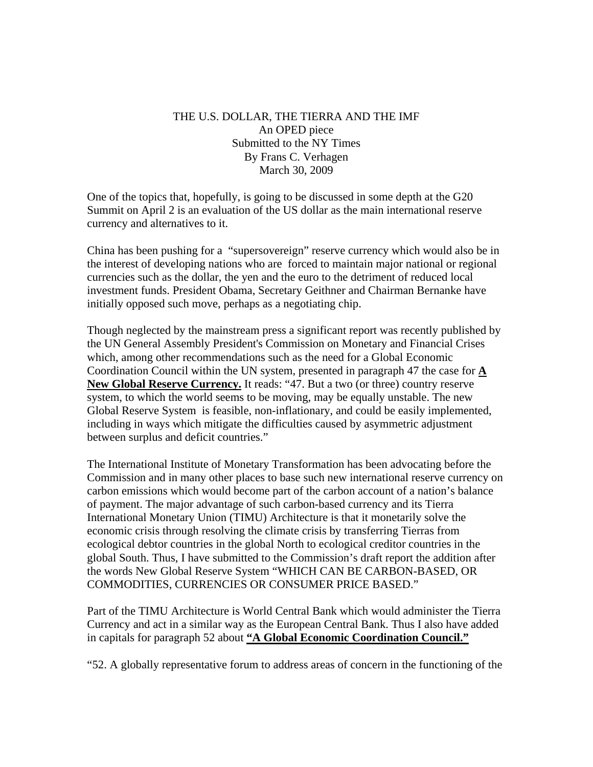## THE U.S. DOLLAR, THE TIERRA AND THE IMF An OPED piece Submitted to the NY Times By Frans C. Verhagen March 30, 2009

One of the topics that, hopefully, is going to be discussed in some depth at the G20 Summit on April 2 is an evaluation of the US dollar as the main international reserve currency and alternatives to it.

China has been pushing for a "supersovereign" reserve currency which would also be in the interest of developing nations who are forced to maintain major national or regional currencies such as the dollar, the yen and the euro to the detriment of reduced local investment funds. President Obama, Secretary Geithner and Chairman Bernanke have initially opposed such move, perhaps as a negotiating chip.

Though neglected by the mainstream press a significant report was recently published by the UN General Assembly President's Commission on Monetary and Financial Crises which, among other recommendations such as the need for a Global Economic Coordination Council within the UN system, presented in paragraph 47 the case for **A New Global Reserve Currency.** It reads: "47. But a two (or three) country reserve system, to which the world seems to be moving, may be equally unstable. The new Global Reserve System is feasible, non-inflationary, and could be easily implemented, including in ways which mitigate the difficulties caused by asymmetric adjustment between surplus and deficit countries."

The International Institute of Monetary Transformation has been advocating before the Commission and in many other places to base such new international reserve currency on carbon emissions which would become part of the carbon account of a nation's balance of payment. The major advantage of such carbon-based currency and its Tierra International Monetary Union (TIMU) Architecture is that it monetarily solve the economic crisis through resolving the climate crisis by transferring Tierras from ecological debtor countries in the global North to ecological creditor countries in the global South. Thus, I have submitted to the Commission's draft report the addition after the words New Global Reserve System "WHICH CAN BE CARBON-BASED, OR COMMODITIES, CURRENCIES OR CONSUMER PRICE BASED."

Part of the TIMU Architecture is World Central Bank which would administer the Tierra Currency and act in a similar way as the European Central Bank. Thus I also have added in capitals for paragraph 52 about **"A Global Economic Coordination Council."**

"52. A globally representative forum to address areas of concern in the functioning of the